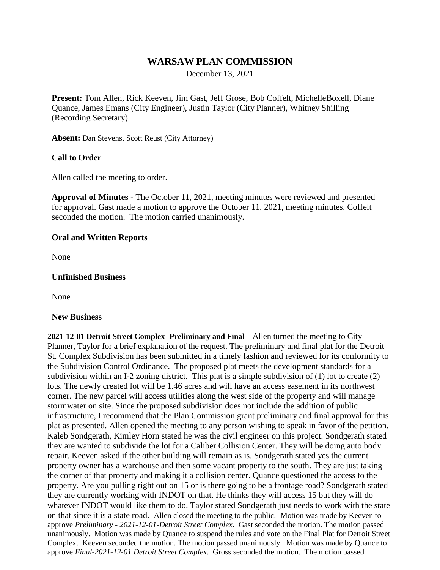# **WARSAW PLAN COMMISSION**

December 13, 2021

**Present:** Tom Allen, Rick Keeven, Jim Gast, Jeff Grose, Bob Coffelt, MichelleBoxell, Diane Quance, James Emans (City Engineer), Justin Taylor (City Planner), Whitney Shilling (Recording Secretary)

**Absent:** Dan Stevens, Scott Reust (City Attorney)

### **Call to Order**

Allen called the meeting to order.

**Approval of Minutes -** The October 11, 2021, meeting minutes were reviewed and presented for approval. Gast made a motion to approve the October 11, 2021, meeting minutes. Coffelt seconded the motion. The motion carried unanimously.

### **Oral and Written Reports**

None

### **Unfinished Business**

None

### **New Business**

**2021-12-01 Detroit Street Complex- Preliminary and Final –** Allen turned the meeting to City Planner, Taylor for a brief explanation of the request. The preliminary and final plat for the Detroit St. Complex Subdivision has been submitted in a timely fashion and reviewed for its conformity to the Subdivision Control Ordinance. The proposed plat meets the development standards for a subdivision within an I-2 zoning district. This plat is a simple subdivision of (1) lot to create (2) lots. The newly created lot will be 1.46 acres and will have an access easement in its northwest corner. The new parcel will access utilities along the west side of the property and will manage stormwater on site. Since the proposed subdivision does not include the addition of public infrastructure, I recommend that the Plan Commission grant preliminary and final approval for this plat as presented. Allen opened the meeting to any person wishing to speak in favor of the petition. Kaleb Sondgerath, Kimley Horn stated he was the civil engineer on this project. Sondgerath stated they are wanted to subdivide the lot for a Caliber Collision Center. They will be doing auto body repair. Keeven asked if the other building will remain as is. Sondgerath stated yes the current property owner has a warehouse and then some vacant property to the south. They are just taking the corner of that property and making it a collision center. Quance questioned the access to the property. Are you pulling right out on 15 or is there going to be a frontage road? Sondgerath stated they are currently working with INDOT on that. He thinks they will access 15 but they will do whatever INDOT would like them to do. Taylor stated Sondgerath just needs to work with the state on that since it is a state road. Allen closed the meeting to the public. Motion was made by Keeven to approve *Preliminary - 2021-12-01-Detroit Street Complex*. Gast seconded the motion. The motion passed unanimously. Motion was made by Quance to suspend the rules and vote on the Final Plat for Detroit Street Complex. Keeven seconded the motion. The motion passed unanimously. Motion was made by Quance to approve *Final-2021-12-01 Detroit Street Complex.* Gross seconded the motion. The motion passed